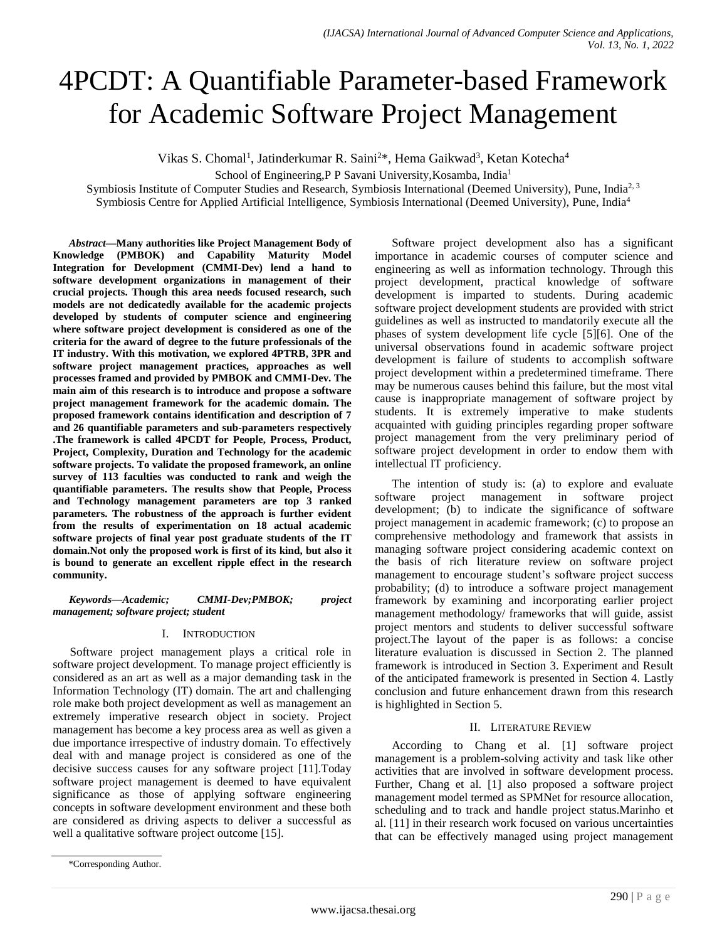# 4PCDT: A Quantifiable Parameter-based Framework for Academic Software Project Management

Vikas S. Chomal<sup>1</sup>, Jatinderkumar R. Saini<sup>2\*</sup>, Hema Gaikwad<sup>3</sup>, Ketan Kotecha<sup>4</sup>

School of Engineering,P P Savani University,Kosamba, India<sup>1</sup>

Symbiosis Institute of Computer Studies and Research, Symbiosis International (Deemed University), Pune, India<sup>2, 3</sup>

Symbiosis Centre for Applied Artificial Intelligence, Symbiosis International (Deemed University), Pune, India<sup>4</sup>

*Abstract***—Many authorities like Project Management Body of Knowledge (PMBOK) and Capability Maturity Model Integration for Development (CMMI-Dev) lend a hand to software development organizations in management of their crucial projects. Though this area needs focused research, such models are not dedicatedly available for the academic projects developed by students of computer science and engineering where software project development is considered as one of the criteria for the award of degree to the future professionals of the IT industry. With this motivation, we explored 4PTRB, 3PR and software project management practices, approaches as well processes framed and provided by PMBOK and CMMI-Dev. The main aim of this research is to introduce and propose a software project management framework for the academic domain. The proposed framework contains identification and description of 7 and 26 quantifiable parameters and sub-parameters respectively .The framework is called 4PCDT for People, Process, Product, Project, Complexity, Duration and Technology for the academic software projects. To validate the proposed framework, an online survey of 113 faculties was conducted to rank and weigh the quantifiable parameters. The results show that People, Process and Technology management parameters are top 3 ranked parameters. The robustness of the approach is further evident from the results of experimentation on 18 actual academic software projects of final year post graduate students of the IT domain.Not only the proposed work is first of its kind, but also it is bound to generate an excellent ripple effect in the research community.**

*Keywords—Academic; CMMI-Dev;PMBOK; project management; software project; student*

## I. INTRODUCTION

Software project management plays a critical role in software project development. To manage project efficiently is considered as an art as well as a major demanding task in the Information Technology (IT) domain. The art and challenging role make both project development as well as management an extremely imperative research object in society. Project management has become a key process area as well as given a due importance irrespective of industry domain. To effectively deal with and manage project is considered as one of the decisive success causes for any software project [11].Today software project management is deemed to have equivalent significance as those of applying software engineering concepts in software development environment and these both are considered as driving aspects to deliver a successful as well a qualitative software project outcome [15].

Software project development also has a significant importance in academic courses of computer science and engineering as well as information technology. Through this project development, practical knowledge of software development is imparted to students. During academic software project development students are provided with strict guidelines as well as instructed to mandatorily execute all the phases of system development life cycle [5][6]. One of the universal observations found in academic software project development is failure of students to accomplish software project development within a predetermined timeframe. There may be numerous causes behind this failure, but the most vital cause is inappropriate management of software project by students. It is extremely imperative to make students acquainted with guiding principles regarding proper software project management from the very preliminary period of software project development in order to endow them with intellectual IT proficiency.

The intention of study is: (a) to explore and evaluate software project management in software project development; (b) to indicate the significance of software project management in academic framework; (c) to propose an comprehensive methodology and framework that assists in managing software project considering academic context on the basis of rich literature review on software project management to encourage student's software project success probability; (d) to introduce a software project management framework by examining and incorporating earlier project management methodology/ frameworks that will guide, assist project mentors and students to deliver successful software project.The layout of the paper is as follows: a concise literature evaluation is discussed in Section 2. The planned framework is introduced in Section 3. Experiment and Result of the anticipated framework is presented in Section 4. Lastly conclusion and future enhancement drawn from this research is highlighted in Section 5.

## II. LITERATURE REVIEW

According to Chang et al. [1] software project management is a problem-solving activity and task like other activities that are involved in software development process. Further, Chang et al. [1] also proposed a software project management model termed as SPMNet for resource allocation, scheduling and to track and handle project status.Marinho et al. [11] in their research work focused on various uncertainties that can be effectively managed using project management

<sup>\*</sup>Corresponding Author.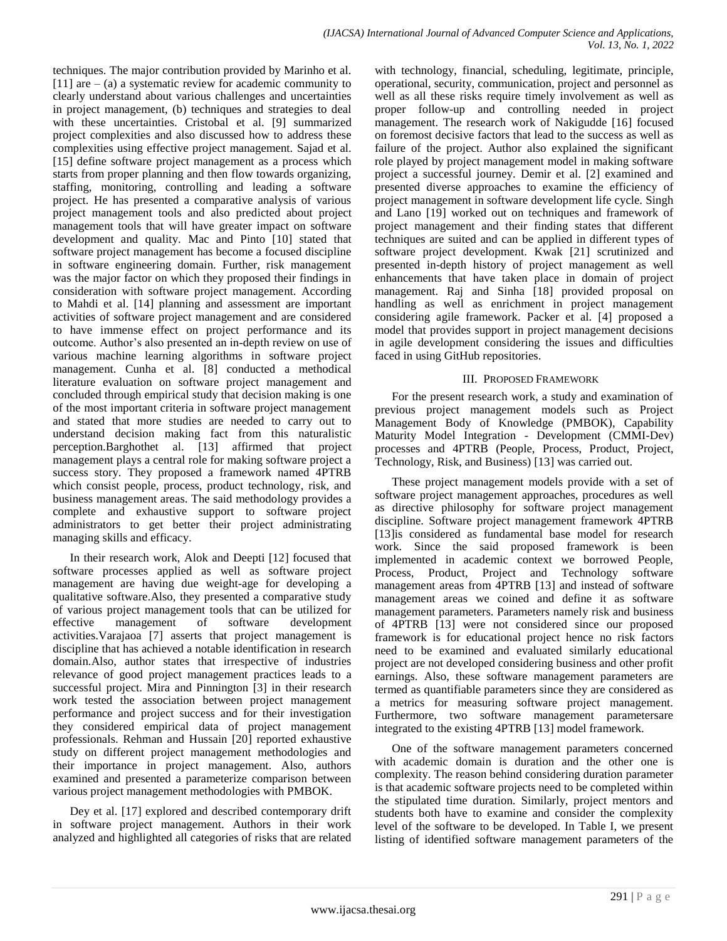techniques. The major contribution provided by Marinho et al. [11] are  $-$  (a) a systematic review for academic community to clearly understand about various challenges and uncertainties in project management, (b) techniques and strategies to deal with these uncertainties. Cristobal et al. [9] summarized project complexities and also discussed how to address these complexities using effective project management. Sajad et al. [15] define software project management as a process which starts from proper planning and then flow towards organizing, staffing, monitoring, controlling and leading a software project. He has presented a comparative analysis of various project management tools and also predicted about project management tools that will have greater impact on software development and quality. Mac and Pinto [10] stated that software project management has become a focused discipline in software engineering domain. Further, risk management was the major factor on which they proposed their findings in consideration with software project management. According to Mahdi et al. [14] planning and assessment are important activities of software project management and are considered to have immense effect on project performance and its outcome. Author's also presented an in-depth review on use of various machine learning algorithms in software project management. Cunha et al. [8] conducted a methodical literature evaluation on software project management and concluded through empirical study that decision making is one of the most important criteria in software project management and stated that more studies are needed to carry out to understand decision making fact from this naturalistic perception.Barghothet al. [13] affirmed that project management plays a central role for making software project a success story. They proposed a framework named 4PTRB which consist people, process, product technology, risk, and business management areas. The said methodology provides a complete and exhaustive support to software project administrators to get better their project administrating managing skills and efficacy.

In their research work, Alok and Deepti [12] focused that software processes applied as well as software project management are having due weight-age for developing a qualitative software.Also, they presented a comparative study of various project management tools that can be utilized for effective management of software development activities.Varajaoa [7] asserts that project management is discipline that has achieved a notable identification in research domain.Also, author states that irrespective of industries relevance of good project management practices leads to a successful project. Mira and Pinnington [3] in their research work tested the association between project management performance and project success and for their investigation they considered empirical data of project management professionals. Rehman and Hussain [20] reported exhaustive study on different project management methodologies and their importance in project management. Also, authors examined and presented a parameterize comparison between various project management methodologies with PMBOK.

Dey et al. [17] explored and described contemporary drift in software project management. Authors in their work analyzed and highlighted all categories of risks that are related with technology, financial, scheduling, legitimate, principle, operational, security, communication, project and personnel as well as all these risks require timely involvement as well as proper follow-up and controlling needed in project management. The research work of Nakigudde [16] focused on foremost decisive factors that lead to the success as well as failure of the project. Author also explained the significant role played by project management model in making software project a successful journey. Demir et al. [2] examined and presented diverse approaches to examine the efficiency of project management in software development life cycle. Singh and Lano [19] worked out on techniques and framework of project management and their finding states that different techniques are suited and can be applied in different types of software project development. Kwak [21] scrutinized and presented in-depth history of project management as well enhancements that have taken place in domain of project management. Raj and Sinha [18] provided proposal on handling as well as enrichment in project management considering agile framework. Packer et al. [4] proposed a model that provides support in project management decisions in agile development considering the issues and difficulties faced in using GitHub repositories.

## III. PROPOSED FRAMEWORK

For the present research work, a study and examination of previous project management models such as Project Management Body of Knowledge (PMBOK), Capability Maturity Model Integration - Development (CMMI-Dev) processes and 4PTRB (People, Process, Product, Project, Technology, Risk, and Business) [13] was carried out.

These project management models provide with a set of software project management approaches, procedures as well as directive philosophy for software project management discipline. Software project management framework 4PTRB [13]is considered as fundamental base model for research work. Since the said proposed framework is been implemented in academic context we borrowed People, Process, Product, Project and Technology software management areas from 4PTRB [13] and instead of software management areas we coined and define it as software management parameters. Parameters namely risk and business of 4PTRB [13] were not considered since our proposed framework is for educational project hence no risk factors need to be examined and evaluated similarly educational project are not developed considering business and other profit earnings. Also, these software management parameters are termed as quantifiable parameters since they are considered as a metrics for measuring software project management. Furthermore, two software management parametersare integrated to the existing 4PTRB [13] model framework.

One of the software management parameters concerned with academic domain is duration and the other one is complexity. The reason behind considering duration parameter is that academic software projects need to be completed within the stipulated time duration. Similarly, project mentors and students both have to examine and consider the complexity level of the software to be developed. In Table I, we present listing of identified software management parameters of the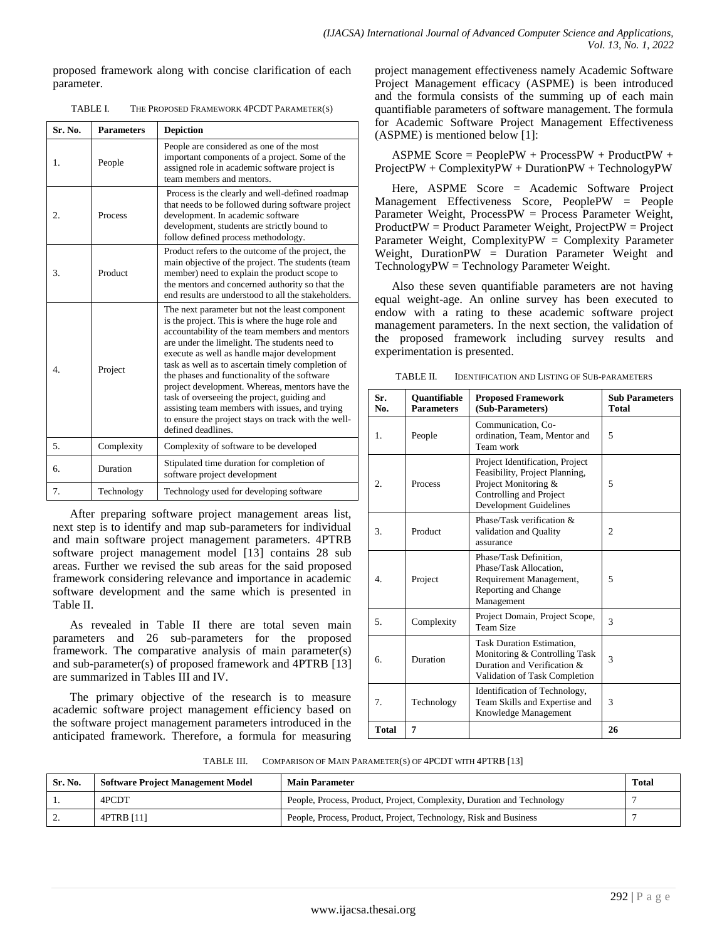proposed framework along with concise clarification of each parameter.

| Sr. No.        | <b>Parameters</b> | <b>Depiction</b>                                                                                                                                                                                                                                                                                                                                                                                                                                                                                                                                                                         |
|----------------|-------------------|------------------------------------------------------------------------------------------------------------------------------------------------------------------------------------------------------------------------------------------------------------------------------------------------------------------------------------------------------------------------------------------------------------------------------------------------------------------------------------------------------------------------------------------------------------------------------------------|
| $\mathbf{1}$ . | People            | People are considered as one of the most<br>important components of a project. Some of the<br>assigned role in academic software project is<br>team members and mentors.                                                                                                                                                                                                                                                                                                                                                                                                                 |
| 2.             | Process           | Process is the clearly and well-defined roadmap<br>that needs to be followed during software project<br>development. In academic software<br>development, students are strictly bound to<br>follow defined process methodology.                                                                                                                                                                                                                                                                                                                                                          |
| 3.             | Product           | Product refers to the outcome of the project, the<br>main objective of the project. The students (team<br>member) need to explain the product scope to<br>the mentors and concerned authority so that the<br>end results are understood to all the stakeholders.                                                                                                                                                                                                                                                                                                                         |
| $\overline{4}$ | Project           | The next parameter but not the least component<br>is the project. This is where the huge role and<br>accountability of the team members and mentors<br>are under the limelight. The students need to<br>execute as well as handle major development<br>task as well as to ascertain timely completion of<br>the phases and functionality of the software<br>project development. Whereas, mentors have the<br>task of overseeing the project, guiding and<br>assisting team members with issues, and trying<br>to ensure the project stays on track with the well-<br>defined deadlines. |
| 5.             | Complexity        | Complexity of software to be developed                                                                                                                                                                                                                                                                                                                                                                                                                                                                                                                                                   |
| 6.             | Duration          | Stipulated time duration for completion of<br>software project development                                                                                                                                                                                                                                                                                                                                                                                                                                                                                                               |
| 7.             | Technology        | Technology used for developing software                                                                                                                                                                                                                                                                                                                                                                                                                                                                                                                                                  |

TABLE I. THE PROPOSED FRAMEWORK 4PCDT PARAMETER(S)

After preparing software project management areas list, next step is to identify and map sub-parameters for individual and main software project management parameters. 4PTRB software project management model [13] contains 28 sub areas. Further we revised the sub areas for the said proposed framework considering relevance and importance in academic software development and the same which is presented in Table II.

As revealed in Table II there are total seven main parameters and 26 sub-parameters for the proposed framework. The comparative analysis of main parameter(s) and sub-parameter(s) of proposed framework and 4PTRB [13] are summarized in Tables III and IV.

The primary objective of the research is to measure academic software project management efficiency based on the software project management parameters introduced in the anticipated framework. Therefore, a formula for measuring project management effectiveness namely Academic Software Project Management efficacy (ASPME) is been introduced and the formula consists of the summing up of each main quantifiable parameters of software management. The formula for Academic Software Project Management Effectiveness (ASPME) is mentioned below [1]:

ASPME Score = PeoplePW + ProcessPW + ProductPW + ProjectPW + ComplexityPW + DurationPW + TechnologyPW

Here, ASPME Score = Academic Software Project Management Effectiveness Score, PeoplePW = People Parameter Weight, ProcessPW = Process Parameter Weight, ProductPW = Product Parameter Weight, ProjectPW = Project Parameter Weight, ComplexityPW = Complexity Parameter Weight, DurationPW = Duration Parameter Weight and TechnologyPW = Technology Parameter Weight.

Also these seven quantifiable parameters are not having equal weight-age. An online survey has been executed to endow with a rating to these academic software project management parameters. In the next section, the validation of the proposed framework including survey results and experimentation is presented.

| TABLE II. | <b>IDENTIFICATION AND LISTING OF SUB-PARAMETERS</b> |
|-----------|-----------------------------------------------------|
|           |                                                     |

| Sr.<br>No.   | <b>Ouantifiable</b><br><b>Parameters</b> | <b>Proposed Framework</b><br>(Sub-Parameters)                                                                                                         | <b>Sub Parameters</b><br>Total |
|--------------|------------------------------------------|-------------------------------------------------------------------------------------------------------------------------------------------------------|--------------------------------|
| 1.           | People                                   | Communication, Co-<br>ordination, Team, Mentor and<br>Team work                                                                                       | 5                              |
| 2.           | Process                                  | Project Identification, Project<br>Feasibility, Project Planning,<br>Project Monitoring &<br>Controlling and Project<br><b>Development Guidelines</b> | 5                              |
| 3.           | Product                                  | Phase/Task verification $&$<br>validation and Quality<br>assurance                                                                                    | $\overline{c}$                 |
| 4.           | Project                                  | Phase/Task Definition,<br>Phase/Task Allocation.<br>Requirement Management,<br>Reporting and Change<br>Management                                     | 5                              |
| 5.           | Complexity                               | Project Domain, Project Scope,<br>Team Size                                                                                                           | 3                              |
| б.           | Duration                                 | <b>Task Duration Estimation,</b><br>Monitoring & Controlling Task<br>Duration and Verification &<br>Validation of Task Completion                     | 3                              |
| 7.           | Technology                               | Identification of Technology,<br>Team Skills and Expertise and<br>Knowledge Management                                                                | 3                              |
| <b>Total</b> | 7                                        |                                                                                                                                                       | 26                             |

TABLE III. COMPARISON OF MAIN PARAMETER(S) OF 4PCDT WITH 4PTRB [13]

| Sr. No. | <b>Software Project Management Model</b> | <b>Main Parameter</b>                                                  | Total |
|---------|------------------------------------------|------------------------------------------------------------------------|-------|
|         | 4PCDT                                    | People, Process, Product, Project, Complexity, Duration and Technology |       |
|         | 4PTRB [11]                               | People, Process, Product, Project, Technology, Risk and Business       |       |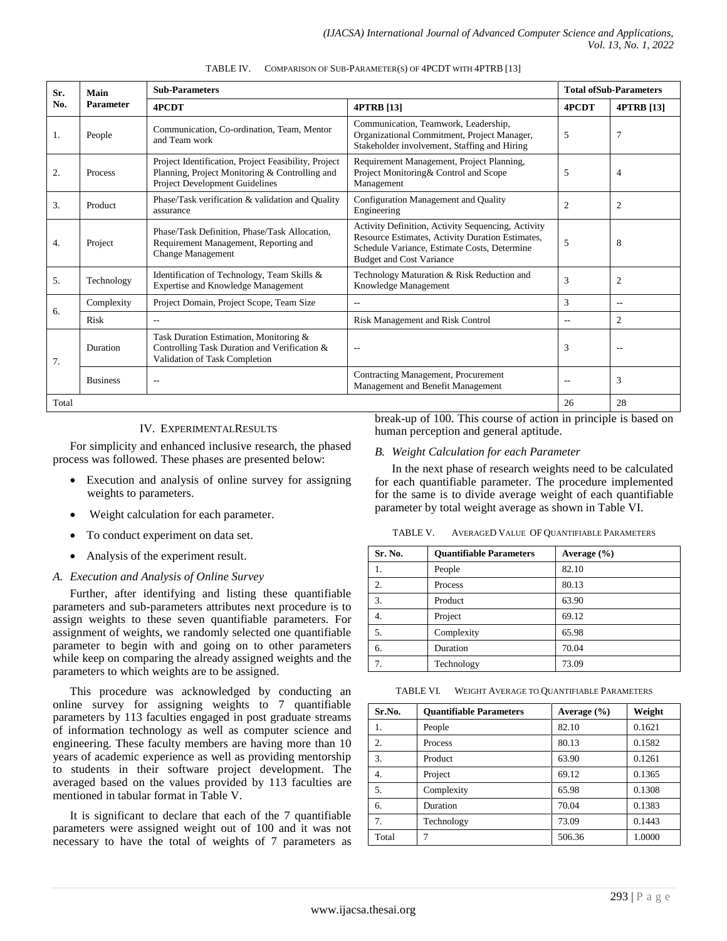| Sr.   | Main                                                                                                                                                       | <b>Sub-Parameters</b>                                                                                                   |                                                                                                                                                                                           | <b>Total ofSub-Parameters</b> |                   |
|-------|------------------------------------------------------------------------------------------------------------------------------------------------------------|-------------------------------------------------------------------------------------------------------------------------|-------------------------------------------------------------------------------------------------------------------------------------------------------------------------------------------|-------------------------------|-------------------|
| No.   | <b>Parameter</b>                                                                                                                                           | 4PCDT<br><b>4PTRB</b> [13]                                                                                              |                                                                                                                                                                                           | 4PCDT                         | <b>4PTRB</b> [13] |
| 1.    | Communication, Co-ordination, Team, Mentor<br>People<br>and Team work                                                                                      |                                                                                                                         | Communication, Teamwork, Leadership,<br>Organizational Commitment, Project Manager,<br>Stakeholder involvement, Staffing and Hiring                                                       | 5                             | $\overline{7}$    |
| 2.    | Project Identification, Project Feasibility, Project<br>Planning, Project Monitoring & Controlling and<br>Process<br><b>Project Development Guidelines</b> |                                                                                                                         | Requirement Management, Project Planning,<br>Project Monitoring & Control and Scope<br>Management                                                                                         | 5                             | 4                 |
| 3.    | Product                                                                                                                                                    | Phase/Task verification & validation and Quality<br>assurance                                                           | Configuration Management and Quality<br>Engineering                                                                                                                                       | $\overline{2}$                | $\overline{2}$    |
| 4.    | Phase/Task Definition. Phase/Task Allocation.<br>Requirement Management, Reporting and<br>Project<br><b>Change Management</b>                              |                                                                                                                         | Activity Definition, Activity Sequencing, Activity<br>Resource Estimates, Activity Duration Estimates,<br>Schedule Variance, Estimate Costs, Determine<br><b>Budget and Cost Variance</b> | 5                             | 8                 |
| 5.    | Identification of Technology, Team Skills &<br>Technology<br><b>Expertise and Knowledge Management</b>                                                     |                                                                                                                         | Technology Maturation & Risk Reduction and<br>Knowledge Management                                                                                                                        | 3                             | $\overline{2}$    |
|       | Complexity                                                                                                                                                 | Project Domain, Project Scope, Team Size                                                                                |                                                                                                                                                                                           | 3                             | $-$               |
| 6.    | Risk                                                                                                                                                       |                                                                                                                         | <b>Risk Management and Risk Control</b>                                                                                                                                                   | $- -$                         | 2                 |
| 7.    | Duration                                                                                                                                                   | Task Duration Estimation, Monitoring &<br>Controlling Task Duration and Verification &<br>Validation of Task Completion | --                                                                                                                                                                                        | 3                             | --                |
|       | <b>Business</b>                                                                                                                                            | $-$                                                                                                                     | Contracting Management, Procurement<br>Management and Benefit Management                                                                                                                  | $\overline{\phantom{a}}$      | 3                 |
| Total |                                                                                                                                                            |                                                                                                                         |                                                                                                                                                                                           | 26                            | 28                |

TABLE IV. COMPARISON OF SUB-PARAMETER(S) OF 4PCDT WITH 4PTRB [13]

## IV. EXPERIMENTALRESULTS

For simplicity and enhanced inclusive research, the phased process was followed. These phases are presented below:

- Execution and analysis of online survey for assigning weights to parameters.
- Weight calculation for each parameter.
- To conduct experiment on data set.
- Analysis of the experiment result.

## *A. Execution and Analysis of Online Survey*

Further, after identifying and listing these quantifiable parameters and sub-parameters attributes next procedure is to assign weights to these seven quantifiable parameters. For assignment of weights, we randomly selected one quantifiable parameter to begin with and going on to other parameters while keep on comparing the already assigned weights and the parameters to which weights are to be assigned.

This procedure was acknowledged by conducting an online survey for assigning weights to 7 quantifiable parameters by 113 faculties engaged in post graduate streams of information technology as well as computer science and engineering. These faculty members are having more than 10 years of academic experience as well as providing mentorship to students in their software project development. The averaged based on the values provided by 113 faculties are mentioned in tabular format in Table V.

It is significant to declare that each of the 7 quantifiable parameters were assigned weight out of 100 and it was not necessary to have the total of weights of 7 parameters as break-up of 100. This course of action in principle is based on human perception and general aptitude.

### *B. Weight Calculation for each Parameter*

In the next phase of research weights need to be calculated for each quantifiable parameter. The procedure implemented for the same is to divide average weight of each quantifiable parameter by total weight average as shown in Table VI.

TABLE V. AVERAGED VALUE OF QUANTIFIABLE PARAMETERS

| Sr. No. | <b>Quantifiable Parameters</b> | Average $(\% )$ |
|---------|--------------------------------|-----------------|
|         | People                         | 82.10           |
| 2.      | Process                        | 80.13           |
| 3.      | Product                        | 63.90           |
| 4.      | Project                        | 69.12           |
| 5.      | Complexity                     | 65.98           |
| 6.      | Duration                       | 70.04           |
| 7.      | Technology                     | 73.09           |

TABLE VI. WEIGHT AVERAGE TO QUANTIFIABLE PARAMETERS

| Sr.No. | <b>Ouantifiable Parameters</b> | Average $(\% )$ | Weight |
|--------|--------------------------------|-----------------|--------|
| 1.     | People                         | 82.10           | 0.1621 |
| 2.     | <b>Process</b>                 | 80.13           | 0.1582 |
| 3.     | Product                        | 63.90           | 0.1261 |
| 4.     | Project                        | 69.12           | 0.1365 |
| 5.     | Complexity                     | 65.98           | 0.1308 |
| 6.     | Duration                       | 70.04           | 0.1383 |
| 7.     | Technology                     | 73.09           | 0.1443 |
| Total  |                                | 506.36          | 1.0000 |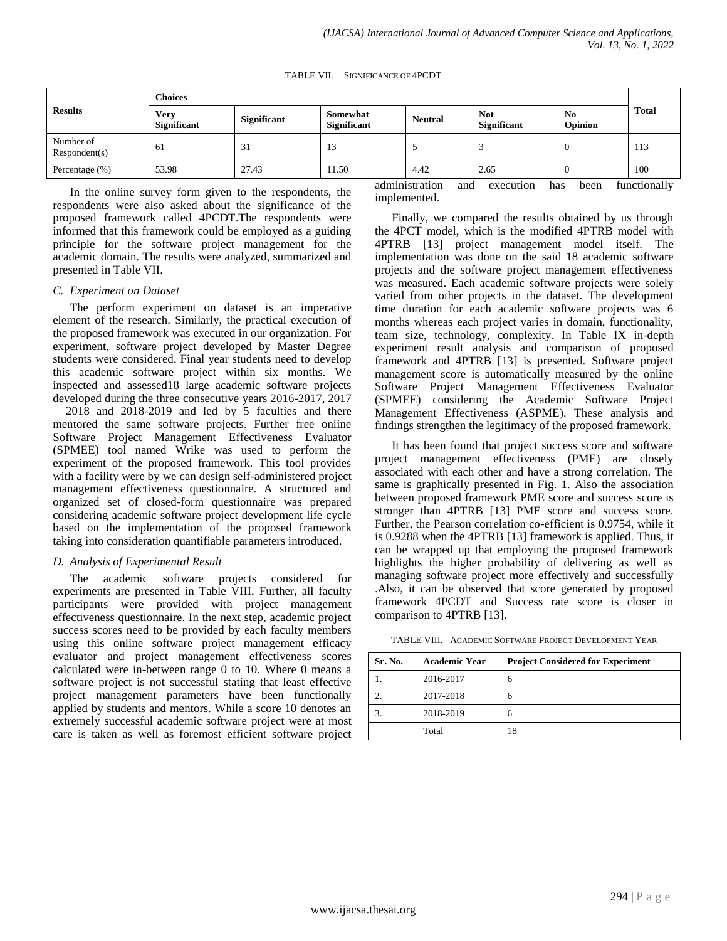TABLE VII. SIGNIFICANCE OF 4PCDT

| <b>Results</b>             | <b>Choices</b>             |                    |                         |                |                                  |                                  |              |
|----------------------------|----------------------------|--------------------|-------------------------|----------------|----------------------------------|----------------------------------|--------------|
|                            | Verv<br><b>Significant</b> | <b>Significant</b> | Somewhat<br>Significant | <b>Neutral</b> | <b>Not</b><br><b>Significant</b> | N <sub>0</sub><br><b>Opinion</b> | <b>Total</b> |
| Number of<br>Respondent(s) | 61                         | 31                 | 13                      |                |                                  |                                  | 113          |
| Percentage $(\% )$         | 53.98                      | 27.43              | 11.50                   | 4.42           | 2.65                             | 0                                | 100          |

In the online survey form given to the respondents, the respondents were also asked about the significance of the proposed framework called 4PCDT.The respondents were informed that this framework could be employed as a guiding principle for the software project management for the academic domain. The results were analyzed, summarized and presented in Table VII.

### *C. Experiment on Dataset*

The perform experiment on dataset is an imperative element of the research. Similarly, the practical execution of the proposed framework was executed in our organization. For experiment, software project developed by Master Degree students were considered. Final year students need to develop this academic software project within six months. We inspected and assessed18 large academic software projects developed during the three consecutive years 2016-2017, 2017  $-2018$  and  $2018-2019$  and led by 5 faculties and there mentored the same software projects. Further free online Software Project Management Effectiveness Evaluator (SPMEE) tool named Wrike was used to perform the experiment of the proposed framework. This tool provides with a facility were by we can design self-administered project management effectiveness questionnaire. A structured and organized set of closed-form questionnaire was prepared considering academic software project development life cycle based on the implementation of the proposed framework taking into consideration quantifiable parameters introduced.

## *D. Analysis of Experimental Result*

The academic software projects considered for experiments are presented in Table VIII. Further, all faculty participants were provided with project management effectiveness questionnaire. In the next step, academic project success scores need to be provided by each faculty members using this online software project management efficacy evaluator and project management effectiveness scores calculated were in-between range 0 to 10. Where 0 means a software project is not successful stating that least effective project management parameters have been functionally applied by students and mentors. While a score 10 denotes an extremely successful academic software project were at most care is taken as well as foremost efficient software project administration and execution has been functionally implemented.

Finally, we compared the results obtained by us through the 4PCT model, which is the modified 4PTRB model with 4PTRB [13] project management model itself. The implementation was done on the said 18 academic software projects and the software project management effectiveness was measured. Each academic software projects were solely varied from other projects in the dataset. The development time duration for each academic software projects was 6 months whereas each project varies in domain, functionality, team size, technology, complexity. In Table IX in-depth experiment result analysis and comparison of proposed framework and 4PTRB [13] is presented. Software project management score is automatically measured by the online Software Project Management Effectiveness Evaluator (SPMEE) considering the Academic Software Project Management Effectiveness (ASPME). These analysis and findings strengthen the legitimacy of the proposed framework.

It has been found that project success score and software project management effectiveness (PME) are closely associated with each other and have a strong correlation. The same is graphically presented in Fig. 1. Also the association between proposed framework PME score and success score is stronger than 4PTRB [13] PME score and success score. Further, the Pearson correlation co-efficient is 0.9754, while it is 0.9288 when the 4PTRB [13] framework is applied. Thus, it can be wrapped up that employing the proposed framework highlights the higher probability of delivering as well as managing software project more effectively and successfully .Also, it can be observed that score generated by proposed framework 4PCDT and Success rate score is closer in comparison to 4PTRB [13].

TABLE VIII. ACADEMIC SOFTWARE PROJECT DEVELOPMENT YEAR

| Sr. No. | <b>Academic Year</b> | <b>Project Considered for Experiment</b> |
|---------|----------------------|------------------------------------------|
|         | 2016-2017            | 6                                        |
|         | 2017-2018            | 6                                        |
|         | 2018-2019            | 6                                        |
|         | Total                | 18                                       |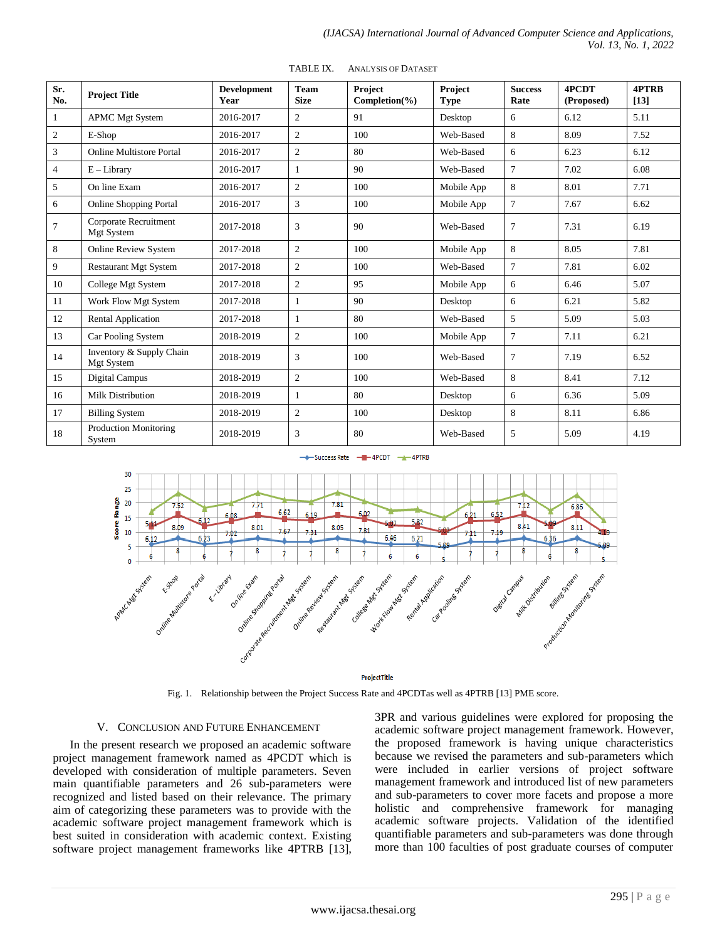| Sr.<br>No.      | <b>Project Title</b>                   | <b>Development</b><br>Year | <b>Team</b><br><b>Size</b> | Project<br>Completion ( <sub>9</sub> ) | Project<br><b>Type</b> | <b>Success</b><br>Rate | 4PCDT<br>(Proposed) | <b>4PTRB</b><br>$[13]$ |
|-----------------|----------------------------------------|----------------------------|----------------------------|----------------------------------------|------------------------|------------------------|---------------------|------------------------|
| 1               | <b>APMC Mgt System</b>                 | 2016-2017                  | $\overline{2}$             | 91                                     | Desktop                | 6                      | 6.12                | 5.11                   |
| $\overline{c}$  | E-Shop                                 | 2016-2017                  | $\overline{2}$             | 100                                    | Web-Based              | 8                      | 8.09                | 7.52                   |
| 3               | <b>Online Multistore Portal</b>        | 2016-2017                  | $\overline{2}$             | 80                                     | Web-Based              | 6                      | 6.23                | 6.12                   |
| $\overline{4}$  | $E - Library$                          | 2016-2017                  | 1                          | 90                                     | Web-Based              | $\overline{7}$         | 7.02                | 6.08                   |
| 5               | On line Exam                           | 2016-2017                  | $\overline{2}$             | 100                                    | Mobile App             | 8                      | 8.01                | 7.71                   |
| 6               | <b>Online Shopping Portal</b>          | 2016-2017                  | 3                          | 100                                    | Mobile App             | $\overline{7}$         | 7.67                | 6.62                   |
| $7\phantom{.0}$ | Corporate Recruitment<br>Mgt System    | 2017-2018                  | 3                          | 90                                     | Web-Based              | $\tau$                 | 7.31                | 6.19                   |
| 8               | <b>Online Review System</b>            | 2017-2018                  | $\overline{2}$             | 100                                    | Mobile App             | 8                      | 8.05                | 7.81                   |
| 9               | <b>Restaurant Mgt System</b>           | 2017-2018                  | $\overline{2}$             | 100                                    | Web-Based              | $\tau$                 | 7.81                | 6.02                   |
| 10              | College Mgt System                     | 2017-2018                  | $\overline{2}$             | 95                                     | Mobile App             | 6                      | 6.46                | 5.07                   |
| 11              | Work Flow Mgt System                   | 2017-2018                  |                            | 90                                     | Desktop                | 6                      | 6.21                | 5.82                   |
| 12              | <b>Rental Application</b>              | 2017-2018                  |                            | 80                                     | Web-Based              | 5                      | 5.09                | 5.03                   |
| 13              | Car Pooling System                     | 2018-2019                  | $\overline{2}$             | 100                                    | Mobile App             | $\overline{7}$         | 7.11                | 6.21                   |
| 14              | Inventory & Supply Chain<br>Mgt System | 2018-2019                  | 3                          | 100                                    | Web-Based              | 7                      | 7.19                | 6.52                   |
| 15              | Digital Campus                         | 2018-2019                  | $\overline{2}$             | 100                                    | Web-Based              | 8                      | 8.41                | 7.12                   |
| 16              | Milk Distribution                      | 2018-2019                  | $\mathbf{1}$               | 80                                     | Desktop                | 6                      | 6.36                | 5.09                   |
| 17              | <b>Billing System</b>                  | 2018-2019                  | $\overline{2}$             | 100                                    | Desktop                | 8                      | 8.11                | 6.86                   |
| 18              | <b>Production Monitoring</b><br>System | 2018-2019                  | 3                          | 80                                     | Web-Based              | 5                      | 5.09                | 4.19                   |

TABLE IX. ANALYSIS OF DATASET

Success Rate - - 4PCDT - 4PTRB



Fig. 1. Relationship between the Project Success Rate and 4PCDTas well as 4PTRB [13] PME score.

#### V. CONCLUSION AND FUTURE ENHANCEMENT

In the present research we proposed an academic software project management framework named as 4PCDT which is developed with consideration of multiple parameters. Seven main quantifiable parameters and 26 sub-parameters were recognized and listed based on their relevance. The primary aim of categorizing these parameters was to provide with the academic software project management framework which is best suited in consideration with academic context. Existing software project management frameworks like 4PTRB [13], 3PR and various guidelines were explored for proposing the academic software project management framework. However, the proposed framework is having unique characteristics because we revised the parameters and sub-parameters which were included in earlier versions of project software management framework and introduced list of new parameters and sub-parameters to cover more facets and propose a more holistic and comprehensive framework for managing academic software projects. Validation of the identified quantifiable parameters and sub-parameters was done through more than 100 faculties of post graduate courses of computer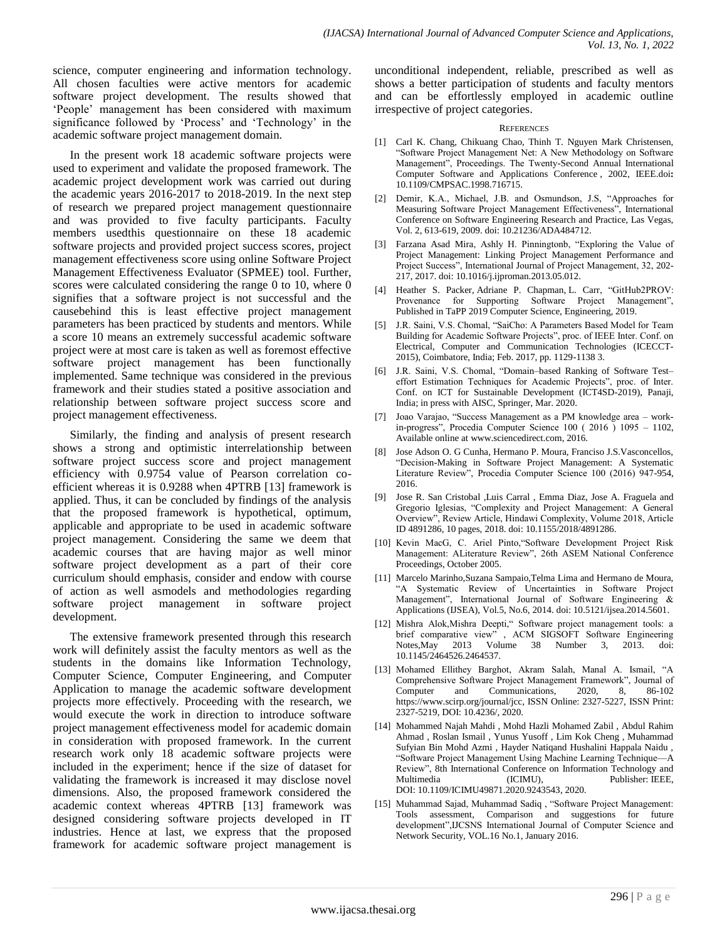science, computer engineering and information technology. All chosen faculties were active mentors for academic software project development. The results showed that 'People' management has been considered with maximum significance followed by 'Process' and 'Technology' in the academic software project management domain.

In the present work 18 academic software projects were used to experiment and validate the proposed framework. The academic project development work was carried out during the academic years 2016-2017 to 2018-2019. In the next step of research we prepared project management questionnaire and was provided to five faculty participants. Faculty members usedthis questionnaire on these 18 academic software projects and provided project success scores, project management effectiveness score using online Software Project Management Effectiveness Evaluator (SPMEE) tool. Further, scores were calculated considering the range 0 to 10, where 0 signifies that a software project is not successful and the causebehind this is least effective project management parameters has been practiced by students and mentors. While a score 10 means an extremely successful academic software project were at most care is taken as well as foremost effective software project management has been functionally implemented. Same technique was considered in the previous framework and their studies stated a positive association and relationship between software project success score and project management effectiveness.

Similarly, the finding and analysis of present research shows a strong and optimistic interrelationship between software project success score and project management efficiency with 0.9754 value of Pearson correlation coefficient whereas it is 0.9288 when 4PTRB [13] framework is applied. Thus, it can be concluded by findings of the analysis that the proposed framework is hypothetical, optimum, applicable and appropriate to be used in academic software project management. Considering the same we deem that academic courses that are having major as well minor software project development as a part of their core curriculum should emphasis, consider and endow with course of action as well asmodels and methodologies regarding software project management in software project development.

The extensive framework presented through this research work will definitely assist the faculty mentors as well as the students in the domains like Information Technology, Computer Science, Computer Engineering, and Computer Application to manage the academic software development projects more effectively. Proceeding with the research, we would execute the work in direction to introduce software project management effectiveness model for academic domain in consideration with proposed framework. In the current research work only 18 academic software projects were included in the experiment; hence if the size of dataset for validating the framework is increased it may disclose novel dimensions. Also, the proposed framework considered the academic context whereas 4PTRB [13] framework was designed considering software projects developed in IT industries. Hence at last, we express that the proposed framework for academic software project management is unconditional independent, reliable, prescribed as well as shows a better participation of students and faculty mentors and can be effortlessly employed in academic outline irrespective of project categories.

#### **REFERENCES**

- [1] Carl K. Chang, Chikuang Chao, Thinh T. Nguyen Mark Christensen, "Software Project Management Net: A New Methodology on Software Management", Proceedings. The Twenty-Second Annual International Computer Software and Applications Conference , 2002, IEEE.doi**:**  [10.1109/CMPSAC.1998.716715.](https://doi.org/10.1109/CMPSAC.1998.716715)
- Demir, K.A., Michael, J.B. and Osmundson, J.S, "Approaches for Measuring Software Project Management Effectiveness", International Conference on Software Engineering Research and Practice, Las Vegas, Vol. 2, 613-619, 2009[. doi: 10.21236/ADA484712.](https://doi.org/10.21236/ADA484712)
- [3] [Farzana Asad Mira,](https://www.sciencedirect.com/science/article/abs/pii/S0263786313000884#!) Ashly H. Pinningtonb, "Exploring the Value of Project Management: Linking Project Management Performance and Project Success", International Journal of Project Management, 32, 202- 217[, 2017. doi: 10.1016/j.ijproman.2013.05.012.](https://doi.org/10.1016/j.ijproman.2013.05.012)
- [4] [Heather S. Packer,](https://www.semanticscholar.org/author/Heather-S.-Packer/2648241) [Adriane P. Chapman,](https://www.semanticscholar.org/author/Adriane-P.-Chapman/144030084) [L. Carr,](https://www.semanticscholar.org/author/L.-Carr/73699848) "GitHub2PROV: Provenance for Supporting Software Project Management", Published in TaPP 2019 Computer Science, Engineering, 2019.
- [5] J.R. Saini, V.S. Chomal, "SaiCho: A Parameters Based Model for Team Building for Academic Software Projects", proc. of IEEE Inter. Conf. on Electrical, Computer and Communication Technologies (ICECCT-2015), Coimbatore, India; Feb. 2017, pp. 1129-1138 3.
- [6] J.R. Saini, V.S. Chomal, "Domain–based Ranking of Software Test– effort Estimation Techniques for Academic Projects", proc. of Inter. Conf. on ICT for Sustainable Development (ICT4SD-2019), Panaji, India; in press with AISC, Springer, Mar. 2020.
- [7] Joao Varajao, "Success Management as a PM knowledge area workin-progress", Procedia Computer Science 100 ( 2016 ) 1095 – 1102, Available online a[t www.sciencedirect.com,](http://www.sciencedirect.com/) 2016.
- [8] Jose Adson O. G Cunha, Hermano P. Moura, Franciso J.S.Vasconcellos, "Decision-Making in Software Project Management: A Systematic Literature Review", Procedia Computer Science 100 (2016) 947-954, 2016.
- [9] Jose R. San Cristobal ,Luis Carral , Emma Diaz, Jose A. Fraguela and Gregorio Iglesias, "Complexity and Project Management: A General Overview", Review Article, Hindawi Complexity, Volume 2018, Article ID 4891286, 10 pages, 2018. doi[: 10.1155/2018/4891286.](https://doi.org/10.1155/2018/4891286)
- [10] Kevin MacG, C. Ariel Pinto, "Software Development Project Risk Management: ALiterature Review", 26th ASEM National Conference Proceedings, October 2005.
- [11] Marcelo Marinho, Suzana Sampaio, Telma Lima and Hermano de Moura, "A Systematic Review of Uncertainties in Software Project Management", International Journal of Software Engineering & Applications (IJSEA), Vol.5, No.6, 2014. doi: 10.5121/ijsea.2014.5601.
- [12] Mishra Alok,Mishra Deepti," Software project management tools: a brief comparative view" , ACM SIGSOFT Software Engineering Notes,May 2013 Volume 38 Number 3, 2013. doi: 10.1145/2464526.2464537.
- [13] Mohamed Ellithey Barghot, Akram Salah, Manal A. Ismail, "A Comprehensive Software Project Management Framework", Journal of Communications 2020 8 86-102 Computer and Communications, 2020, 8, 86-102 [https://www.scirp.org/journal/jcc,](https://www.scirp.org/journal/jcc) ISSN Online: 2327-5227, ISSN Print: 2327-5219, DOI: 10.4236/, 2020.
- [14] Mohammed Najah Mahdi , Mohd Hazli Mohamed Zabil , Abdul Rahim Ahmad , Roslan Ismail , Yunus Yusoff , Lim Kok Cheng , Muhammad Sufyian Bin Mohd Azmi , Hayder Natiqand Hushalini Happala Naidu , "Software Project Management Using Machine Learning Technique—A Review", [8th International Conference on Information Technology and](https://ieeexplore.ieee.org/xpl/conhome/9243083/proceeding)  [Multimedia \(ICIMU\),](https://ieeexplore.ieee.org/xpl/conhome/9243083/proceeding) Publisher: IEEE, DOI: [10.1109/ICIMU49871.2020.9243543,](https://doi.org/10.1109/ICIMU49871.2020.9243543) 2020.
- [15] Muhammad Sajad, Muhammad Sadiq , "Software Project Management: Tools assessment, Comparison and suggestions for future development",IJCSNS International Journal of Computer Science and Network Security, VOL.16 No.1, January 2016.